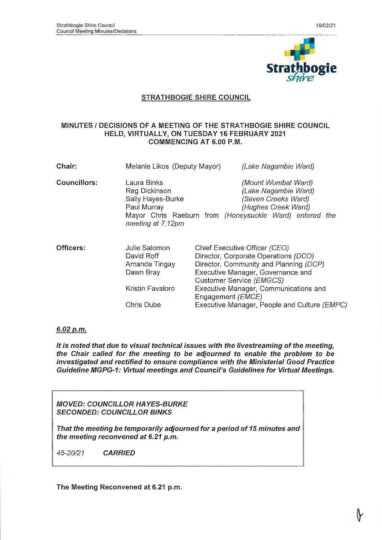

## **STRATHBOGIE SHIRE COUNCIL**

### **MINUTES** *I* **DECISIONS OF A MEETING OF THE STRATHBOGIE SHIRE COUNCIL HELD, VIRTUALLY, ON TUESDAY 16 FEBRUARY 2021 COMMENCING AT 6.00 P.M.**

| Chair:              | Melanie Likos (Deputy Mayor)                                                          | (Lake Nagambie Ward)                                                                                                                                                             |  |
|---------------------|---------------------------------------------------------------------------------------|----------------------------------------------------------------------------------------------------------------------------------------------------------------------------------|--|
| <b>Councillors:</b> | Laura Binks<br>Reg Dickinson<br>Sally Hayes-Burke<br>Paul Murray<br>meeting at 7.12pm | (Mount Wombat Ward)<br>(Lake Nagambie Ward)<br>(Seven Creeks Ward)<br>(Hughes Creek Ward)<br>Mayor Chris Raeburn from (Honeysuckle Ward) entered the                             |  |
| Officers:           | Julie Salomon<br>David Roff<br>Amanda Tingay<br>Dawn Bray                             | Chief Executive Officer (CEO)<br>Director, Corporate Operations (DCO)<br>Director, Community and Planning (DCP)<br>Executive Manager, Governance and<br>Customer Service (EMGCS) |  |
|                     | Kristin Favaloro<br>Chris Dube                                                        | Executive Manager, Communications and<br>Engagement ( <i>EMCE</i> )<br>Executive Manager, People and Culture (EMPC)                                                              |  |
|                     |                                                                                       |                                                                                                                                                                                  |  |

## *6.02 p.m.*

It is noted that due to visual technical issues with the livestreaming of the meeting, *the Chair called for the meeting to be adjourned to enable the problem to be investigated and rectified to ensure compliance with the Ministerial Good Practice Guideline MGPG-1: Virtual meetings and Council's Guidelines for Virtual Meetings.*

*MOVED: COUNCILLOR HAYES-BURKE SECONDED: COUNCILLOR BINKS*

That the meeting be temporarily adjourned for a period of 15 minutes and *the m eeting reconvened at 6.21 p.m.*

*45-20/21 CARRIED*

**The Meeting Reconvened at 6.21 p.m.**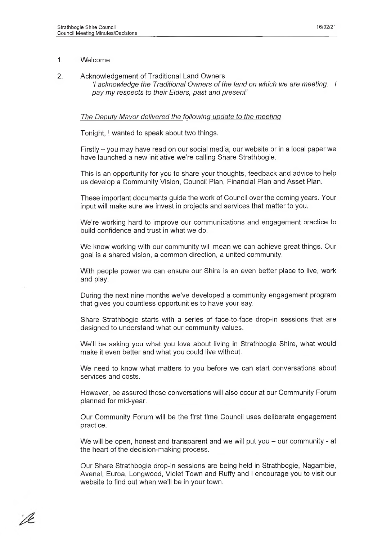## 1. Welcome

2. Acknowledgement of Traditional Land Owners *'I acknowledge the Traditional Owners o f the land on which we are meeting. I* pay my respects to their Elders, past and present'

### *The Deputy M ayor delivered the following update to the meeting*

Tonight, I wanted to speak about two things.

Firstly  $-$  you may have read on our social media, our website or in a local paper we have launched a new initiative we're calling Share Strathbogie.

This is an opportunity for you to share your thoughts, feedback and advice to help us develop a Community Vision, Council Plan, Financial Plan and Asset Plan.

These important documents guide the work of Council over the coming years. Your input will make sure we invest in projects and services that matter to you.

We're working hard to improve our communications and engagement practice to build confidence and trust in what we do.

We know working with our community will mean we can achieve great things. Our goal is a shared vision, a common direction, a united community.

With people power we can ensure our Shire is an even better place to live, work and play.

During the next nine months we've developed a community engagement program that gives you countless opportunities to have your say.

Share Strathbogie starts with a series of face-to-face drop-in sessions that are designed to understand what our community values.

We'll be asking you what you love about living in Strathbogie Shire, what would make it even better and what you could live without.

We need to know what matters to you before we can start conversations about services and costs.

However, be assured those conversations will also occur at our Community Forum planned for mid-year.

Our Community Forum will be the first time Council uses deliberate engagement practice.

We will be open, honest and transparent and we will put you – our community - at the heart of the decision-making process.

Our Share Strathbogie drop-in sessions are being held in Strathbogie, Nagambie, Avenel, Euroa, Longwood, Violet Town and Ruffy and I encourage you to visit our website to find out when we'll be in your town.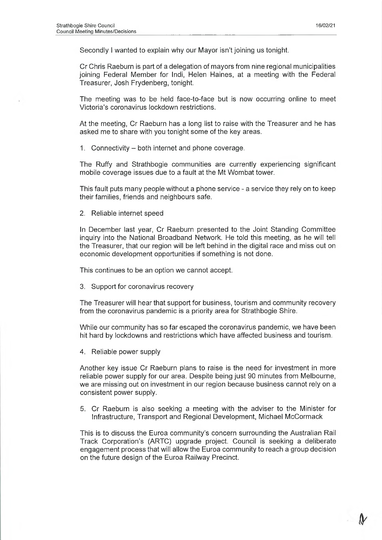Secondly I wanted to explain why our Mayor isn't joining us tonight.

Cr Chris Raeburn is part of a delegation of mayors from nine regional municipalities joining Federal Member for Indi, Helen Haines, at a meeting with the Federal Treasurer, Josh Frydenberg, tonight.

The meeting was to be held face-to-face but is now occurring online to meet Victoria's coronavirus lockdown restrictions.

At the meeting, Cr Raeburn has a long list to raise with the Treasurer and he has asked me to share with you tonight some of the key areas.

1. Connectivity – both internet and phone coverage.

The Ruffy and Strathbogie communities are currently experiencing significant mobile coverage issues due to a fault at the Mt Wombat tower.

This fault puts many people without a phone service - a service they rely on to keep their families, friends and neighbours safe.

2. Reliable internet speed

In December last year, Cr Raeburn presented to the Joint Standing Committee inquiry into the National Broadband Network. He told this meeting, as he will tell the Treasurer, that our region will be left behind in the digital race and miss out on economic development opportunities if something is not done.

This continues to be an option we cannot accept.

3. Support for coronavirus recovery

The Treasurer will hear that support for business, tourism and community recovery from the coronavirus pandemic is a priority area for Strathbogie Shire.

While our community has so far escaped the coronavirus pandemic, we have been hit hard by lockdowns and restrictions which have affected business and tourism.

4. Reliable power supply

Another key issue Cr Raeburn plans to raise is the need for investment in more reliable power supply for our area. Despite being just 90 minutes from Melbourne, we are missing out on investment in our region because business cannot rely on a consistent power supply.

5. Cr Raeburn is also seeking a meeting with the adviser to the Minister for Infrastructure, Transport and Regional Development, Michael McCormack

This is to discuss the Euroa community's concern surrounding the Australian Rail Track Corporation's (ARTC) upgrade project. Council is seeking a deliberate engagement process that will allow the Euroa community to reach a group decision on the future design of the Euroa Railway Precinct.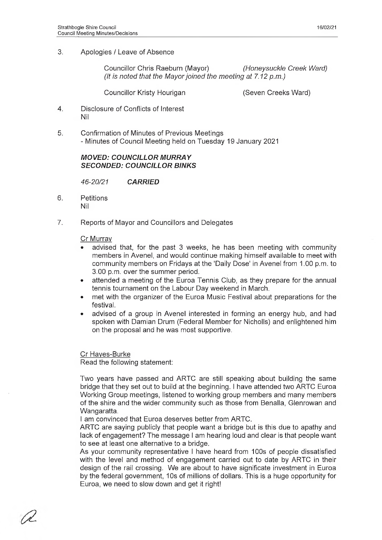3. Apologies / Leave of Absence

Councillor Chris Raeburn (Mayor) *(Honeysuckle Creek Ward) (It is noted that the Mayor joined the meeting at 7.12 p.m.)* 

Councillor Kristy Hourigan (Seven Creeks Ward)

- 4. Disclosure of Conflicts of Interest Nil
- 5. Confirmation of Minutes of Previous Meetings - Minutes of Council Meeting held on Tuesday 19 January 2021

### **MOVED: COUNCILLOR MURRAY** *SECONDED: COUNCILLOR BINKS*

*46-20/21 CARRIED*

- 6. Petitions Nil
- 7. Reports of Mayor and Councillors and Delegates

## Cr Murray

- advised that, for the past 3 weeks, he has been meeting with community members in Avenel, and would continue making himself available to meet with community members on Fridays at the 'Daily Dose' In Avenel from 1.00 p.m. to 3.00 p.m. over the summer period.
- attended a meeting of the Euroa Tennis Club, as they prepare for the annual tennis tournament on the Labour Day weekend in March.
- met with the organizer of the Euroa Music Festival about preparations for the festival.
- advised of a group in Avenel interested in forming an energy hub, and had spoken with Damian Drum (Federal Member for Nlcholls) and enlightened him on the proposal and he was most supportive.

Cr Hayes-Burke

Read the following statement:

Two years have passed and ARTC are still speaking about building the same bridge that they set out to build at the beginning. I have attended two ARTC Euroa Working Group meetings, listened to working group members and many members of the shire and the wider community such as those from Benalla, Glenrowan and Wangaratta.

I am convinced that Euroa deserves better from ARTC.

ARTC are saying publicly that people want a bridge but is this due to apathy and lack of engagement? The message I am hearing loud and clear is that people want to see at least one alternative to a bridge.

As your community representative I have heard from 100s of people dissatisfied with the level and method of engagement carried out to date by ARTC in their design of the rail crossing. We are about to have significate investment in Euroa by the federal government, 10s of millions of dollars. This is a huge opportunity for Euroa, we need to slow down and get it right!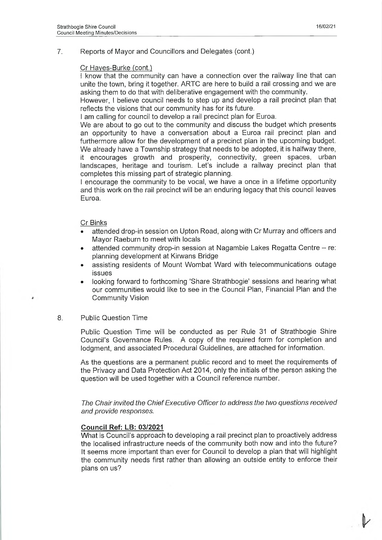#### 7. Reports of Mayor and Councillors and Delegates (cont.)

#### Cr Hayes-Burke (cont.)

I know that the community can have a connection over the railway line that can unite the town, bring it together. ARTC are here to build a rail crossing and we are asking them to do that with deliberative engagement with the community.

However, I believe council needs to step up and develop a rail precinct plan that reflects the visions that our community has for its future.

I am calling for council to develop a rail precinct plan for Euroa.

We are about to go out to the community and discuss the budget which presents an opportunity to have a conversation about a Euroa rail precinct plan and furthermore allow for the development of a precinct plan in the upcoming budget. We already have a Township strategy that needs to be adopted, it is halfway there,

it encourages growth and prosperity, connectivity, green spaces, urban landscapes, heritage and tourism. Let's include a railway precinct plan that completes this missing part of strategic planning.

I encourage the community to be vocal, we have a once in a lifetime opportunity and this work on the rail precinct will be an enduring legacy that this council leaves Euroa.

#### Cr Binks

- attended drop-in session on Upton Road, along with Cr Murray and officers and Mayor Raeburn to meet with locals
- attended community drop-in session at Nagambie Lakes Regatta Centre re: planning development at Kirwans Bridge
- assisting residents of Mount Wombat Ward with telecommunications outage issues
- looking forward to forthcoming 'Share Strathbogie' sessions and hearing what our communities would like to see in the Council Plan, Financial Plan and the Community Vision

#### 8. Public Question Time

Public Question Time will be conducted as per Rule 31 of Strathbogie Shire Council's Governance Rules. A copy of the required form for completion and lodgment, and associated Procedural Guidelines, are attached for information.

As the questions are a permanent public record and to meet the requirements of the Privacy and Data Protection Act 2014, only the initials of the person asking the question will be used together with a Council reference number.

*The Chair invited the Chief Executive Officer to address the two questions received and provide responses.*

#### **Council Ref: LB: 03/2021**

What is Council's approach to developing a rail precinct plan to proactively address the localised infrastructure needs of the community both now and into the future? It seems more important than ever for Council to develop a plan that will highlight the community needs first rather than allowing an outside entity to enforce their plans on us?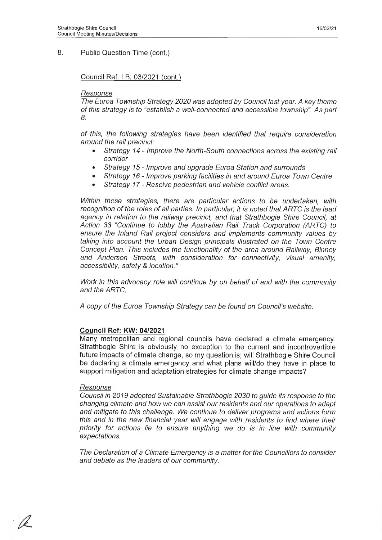### 8. Public Question Time (cont.)

#### Council Ref: LB: 03/2021 (cont.)

#### *Response*

*The Euroa Township Strategy 2020* was *adopted by Council last year. A key theme o f this strategy is to "establish a well-connected and accessible township".* A s *part 8.*

*o f this, the following strategies have been identified that require consideration around the rail precinct:*

- *Strategy 14 Improve the North-South connections across the existing rail corridor*
- *Strategy 1 5 Improve and upgrade Euroa Station and surrounds*
- *Strategy 16 Improve parking facilities in and around Euroa Town Centre*
- *Strategy 17 Resolve pedestrian and vehicle conflict areas.*

*Within these strategies, there are particular actions to be undertaken, with* recognition of the roles of all parties. In particular, it is noted that ARTC is the lead *agency in relation to the railway precinct, and that Strathbogie Shire Council, at Action 33 "Continue to lobby the Australian Rail Track Corporation (ARTC) to ensure the Inland Rail project considers and implements community values by taking into account the Urban Design principals illustrated on the Town Centre Concept Plan. This includes the functionality of the area around Railway, Binney and Anderson Streets, with consideration for connectivity, visual amenity, accessibility, safety & location."*

*Work in this advocacy role will continue by on behalf of and with the community and the ARTC.*

*A copy of the Euroa Township Strategy can be found on Council's website.*

#### **Council Ref: KW: 04/2021**

Many metropolitan and regional councils have declared a climate emergency. Strathbogie Shire is obviously no exception to the current and incontrovertible future impacts of climate change, so my question is; will Strathbogie Shire Council be declaring a climate emergency and what plans will/do they have in place to support mitigation and adaptation strategies for climate change impacts?

#### *Response*

*Council in 2019 adopted Sustainable Strathbogie 2030 to guide its response to the changing climate and how we can assist our residents and our operations to adapt and mitigate to this challenge. We continue to deliver programs and actions form this and in the new financial year will engage with residents to find where their priority for actions lie to ensure anything we do is in line with community expectations.*

*The Declaration of a Climate Emergency is a matter for the Councillors to consider* and debate as the leaders of our community.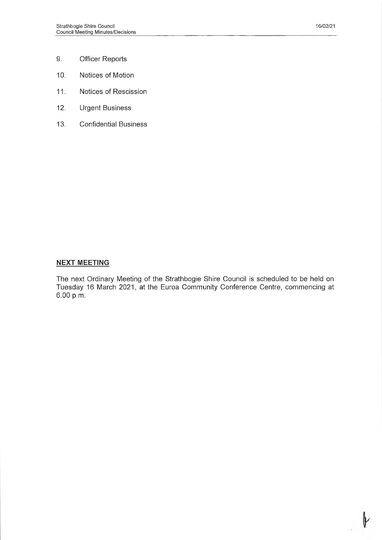- 9. Officer Reports
- 10. Notices of Motion
- 11. Notices of Rescission
- 12. Urgent Business
- 13. Confidential Business

### **NEXT MEETING**

The next Ordinary Meeting of the Strathbogie Shire Council is scheduled to be held on Tuesday 16 March 2021, at the Euroa Community Conference Centre, commencing at 6.00 p.m.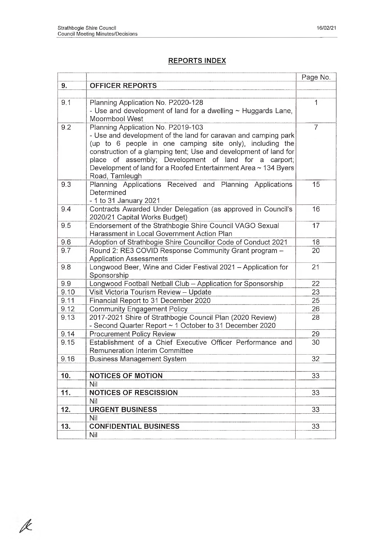# **REPORTS INDEX**

|      |                                                                        | Page No.       |
|------|------------------------------------------------------------------------|----------------|
| 9.   | <b>OFFICER REPORTS</b>                                                 |                |
|      |                                                                        |                |
| 9.1  | Planning Application No. P2020-128                                     | 1              |
|      | - Use and development of land for a dwelling $\sim$ Huggards Lane,     |                |
|      | Moormbool West                                                         |                |
| 9.2  | Planning Application No. P2019-103                                     | $\overline{7}$ |
|      | - Use and development of the land for caravan and camping park         |                |
|      | (up to 6 people in one camping site only), including the               |                |
|      | construction of a glamping tent; Use and development of land for       |                |
|      | place of assembly; Development of land for a carport;                  |                |
|      | Development of land for a Roofed Entertainment Area ~ 134 Byers        |                |
| 9.3  | Road, Tamleugh                                                         | 15             |
|      | Planning Applications Received and Planning Applications<br>Determined |                |
|      | - 1 to 31 January 2021                                                 |                |
| 9.4  | Contracts Awarded Under Delegation (as approved in Council's           | 16             |
|      | 2020/21 Capital Works Budget)                                          |                |
| 9.5  | Endorsement of the Strathbogie Shire Council VAGO Sexual               | 17             |
|      | Harassment in Local Government Action Plan                             |                |
| 9.6  | Adoption of Strathbogie Shire Councillor Code of Conduct 2021          | 18             |
| 9.7  | Round 2: RE3 COVID Response Community Grant program -                  | 20             |
|      | <b>Application Assessments</b>                                         |                |
| 9.8  | Longwood Beer, Wine and Cider Festival 2021 - Application for          | 21             |
|      | Sponsorship                                                            |                |
| 9.9  | Longwood Football Netball Club - Application for Sponsorship           | 22             |
| 9.10 | Visit Victoria Tourism Review - Update                                 | 23             |
| 9.11 | Financial Report to 31 December 2020                                   | 25             |
| 9.12 | <b>Community Engagement Policy</b>                                     | 26             |
| 9.13 | 2017-2021 Shire of Strathbogie Council Plan (2020 Review)              | 28             |
|      | - Second Quarter Report ~ 1 October to 31 December 2020                |                |
| 9.14 | <b>Procurement Policy Review</b>                                       | 29             |
| 9.15 | Establishment of a Chief Executive Officer Performance and             | 30             |
|      | <b>Remuneration Interim Committee</b>                                  |                |
| 9.16 | <b>Business Management System</b>                                      | 32             |
| 10.  | <b>NOTICES OF MOTION</b>                                               | 33             |
|      | Nil                                                                    |                |
| 11.  | <b>NOTICES OF RESCISSION</b>                                           | 33             |
|      | Nil                                                                    |                |
| 12.  | <b>URGENT BUSINESS</b>                                                 | 33             |
|      | Nil                                                                    |                |
| 13.  | <b>CONFIDENTIAL BUSINESS</b>                                           | 33             |
|      | Nil                                                                    |                |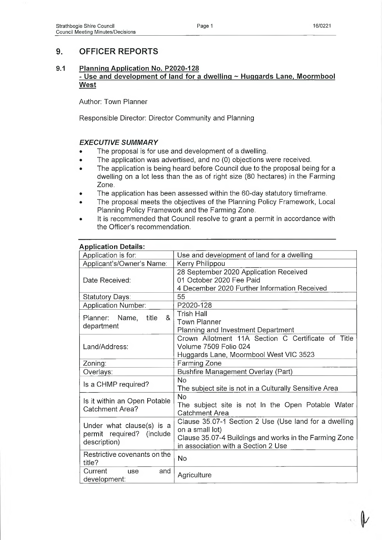# **9. OFFICER REPORTS**

## **9.1 Planning Application No. P2020-128 - Use and development of land for a dwelling ~ Huggards Lane, Moormbool W est**

Author: Town Planner

Responsible Director: Director Community and Planning

## **EXECUTIVE SUMMARY**

- The proposal is for use and development of a dwelling.
- The application was advertised, and no (0) objections were received.
- The application is being heard before Council due to the proposal being for a dwelling on a lot less than the as of right size (80 hectares) in the Farming Zone.
- The application has been assessed within the 60-day statutory timeframe.
- The proposal meets the objectives of the Planning Policy Framework, Local Planning Policy Framework and the Farming Zone.
- It is recommended that Council resolve to grant a permit in accordance with the Officer's recommendation.

| <b>Application Details:</b>     |                                                        |  |  |  |
|---------------------------------|--------------------------------------------------------|--|--|--|
| Application is for:             | Use and development of land for a dwelling             |  |  |  |
| Applicant's/Owner's Name:       | Kerry Philippou                                        |  |  |  |
|                                 | 28 September 2020 Application Received                 |  |  |  |
| Date Received:                  | 01 October 2020 Fee Paid                               |  |  |  |
|                                 | 4 December 2020 Further Information Received           |  |  |  |
| Statutory Days:                 | 55                                                     |  |  |  |
| <b>Application Number:</b>      | P2020-128                                              |  |  |  |
| &<br>Planner:<br>Name,<br>title | <b>Trish Hall</b>                                      |  |  |  |
|                                 | <b>Town Planner</b>                                    |  |  |  |
| department                      | Planning and Investment Department                     |  |  |  |
|                                 | Crown Allotment 11A Section C Certificate of Title     |  |  |  |
| Land/Address:                   | Volume 7509 Folio 024                                  |  |  |  |
|                                 | Huggards Lane, Moormbool West VIC 3523                 |  |  |  |
| Zoning:                         | Farming Zone                                           |  |  |  |
| Overlays:                       | <b>Bushfire Management Overlay (Part)</b>              |  |  |  |
| Is a CHMP required?             | <b>No</b>                                              |  |  |  |
|                                 | The subject site is not in a Culturally Sensitive Area |  |  |  |
| Is it within an Open Potable    | <b>No</b>                                              |  |  |  |
| <b>Catchment Area?</b>          | The subject site is not In the Open Potable Water      |  |  |  |
|                                 | <b>Catchment Area</b>                                  |  |  |  |
| Under what clause(s) is a       | Clause 35.07-1 Section 2 Use (Use land for a dwelling  |  |  |  |
| permit required? (include       | on a small lot)                                        |  |  |  |
| description)                    | Clause 35.07-4 Buildings and works in the Farming Zone |  |  |  |
|                                 | in association with a Section 2 Use                    |  |  |  |
| Restrictive covenants on the    | No                                                     |  |  |  |
| title?                          |                                                        |  |  |  |
| Current<br>and<br>use           | Agriculture                                            |  |  |  |
| development:                    |                                                        |  |  |  |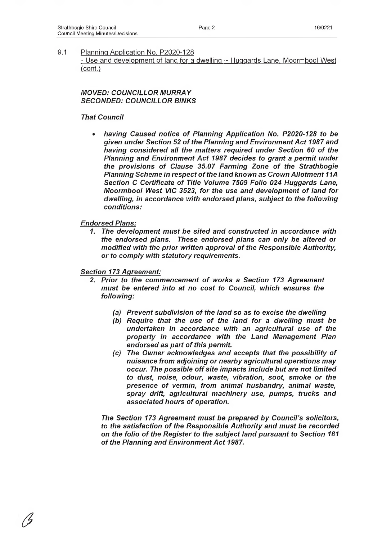- Use and development of land for a dwelling ~ Huggards Lane, Moormbool West (cont.)

## *MOVED: COUNCILLOR MURRAY SECONDED: COUNCILLOR BINKS*

### *That Council*

having Caused notice of Planning Application No. P2020-128 to be *given under Section 52 o f the Planning and Environm ent Act 1987 and* having considered all the matters required under Section 60 of the **Planning and Environment Act 1987 decides to grant a permit under** the provisions of Clause 35.07 Farming Zone of the Strathbogie **Planning Scheme in respect of the land known as Crown Allotment 11A** *Section C Certificate of Title Volume 7509 Folio 024 Huggards Lane, Moormbool West VIC 3523, for the use and development of land for dwelling, in accordance with endorsed plans, subject to the following conditions:*

### *Endorsed Plans:*

*a*

*1. The development m ust be sited and constructed in accordance with the endorsed plans. These endorsed plans can only be altered or modified with the prior written approval of the Responsible Authority, or to com ply with statutory requirements.*

### *Section 173 Agreement:*

- 2. Prior to the commencement of works a Section 173 Agreement must be entered into at no cost to Council, which ensures the *following:*
	- (a) Prevent subdivision of the land so as to excise the dwelling
	- *(b)* Require that the use of the land for a dwelling must be undertaken in accordance with an agricultural use of the *property in accordance with the Land Management Plan* endorsed as part of this permit.
	- *(c) The Owner acknowledges and accepts that the possibility of nuisance from adjoining or nearby agricultural operations m ay occur. The possible o ff site impacts include but are not lim ited to dust, noise, odour, waste, vibration, soot, smoke or the* presence of vermin, from animal husbandry, animal waste, *spray drift, agricultural m achinery use, pumps, trucks and*  $asciated hours of operation.$

*The Section 173 Agreement must be prepared by Council's solicitors,* to the satisfaction of the Responsible Authority and must be recorded on the folio of the Register to the subject land pursuant to Section 181 of the Planning and Environment Act 1987.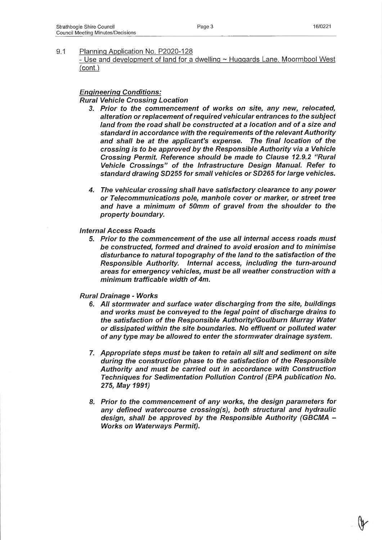- Use and development of land for a dwelling ~ Huggards Lane, Moormbool West (cont.)

# *Engineering Conditions:*

*Rural Vehicle Crossing Location*

- 3. Prior to the commencement of works on site, any new, relocated, alteration or replacement of required vehicular entrances to the subject land from the road shall be constructed at a location and of a size and *standard in accordance with the requirements o f the relevant Authority* and shall be at the applicant's expense. The final location of the *crossing is to be approved by the Responsible Authority via a Vehicle Crossing Permit. Reference should be made to Clause 12.9.2 "Rural* Vehicle Crossings" of the Infrastructure Design Manual. Refer to *standard drawing SD255 for sm all vehicles or SD265 for large vehicles.*
- *4. The vehicular crossing shall have satisfactory clearance to any pow er or Telecommunications pole, manhole cover or marker, or street tree* and have a minimum of 50mm of gravel from the shoulder to the *property boundary.*

#### *Internal Access Roads*

*5. Prior to the com m encem ent o f the use all internal access roads m ust be constructed, form ed and drained to avoid erosion and to minimise* disturbance to natural topography of the land to the satisfaction of the *Responsible Authority. Internal access, including the turn-around areas for em ergency vehicles, m ust be all weather construction with a minimum trafficable width of 4m.* 

#### *Rural Drainage - Works*

- *6. All storm water and surface water discharging from the site, buildings* and works must be conveyed to the legal point of discharge drains to *the satisfaction of the Responsible Authority/Goulburn Murray Water or dissipated within the site boundaries. No effluent or polluted water o f any type m ay be allowed to enter the storm water drainage system.*
- *7. Appropriate steps m ust be taken to retain all silt and sedim ent on site* during the construction phase to the satisfaction of the Responsible *Authority and m ust be carried out in accordance with Construction Techniques for Sedimentation Pollution Control (EPA publication No. 275, M ay 1991)*
- 8. Prior to the commencement of any works, the design parameters for *any defined watercourse crossing(s), both structural and hydraulic design, shall be approved by the Responsible Authority (GBCMA - Works on Waterways Permit).*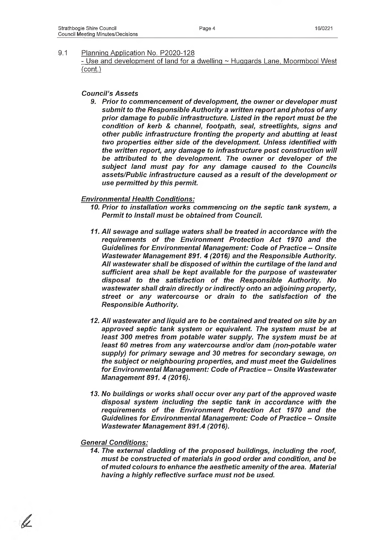- Use and development of land for a dwelling ~ Huggards Lane, Moormbool West (cont.)

### *Council's Assets*

**9. Prior to commencement of development, the owner or developer must** *subm it to the Responsible Authority a written report and photos o f any* prior damage to public infrastructure. Listed in the report must be the condition of kerb & channel, footpath, seal, streetlights, signs and *other public infrastructure fronting the property and abutting at least two properties either side of the development. Unless identified with the written report, any damage to infrastructure post construction will* be attributed to the development. The owner or developer of the *subject land m ust pay for any damage caused to the Councils* assets/Public infrastructure caused as a result of the development or *use perm itted by this permit.*

## *Environm ental Health Conditions:*

- *10. Prior to installation works commencing on the septic tank system, a* **Permit to Install must be obtained from Council.**
- 11. All sewage and sullage waters shall be treated in accordance with the requirements of the Environment Protection Act 1970 and the **Guidelines for Environmental Management: Code of Practice - Onsite** Wastewater Management 891. 4 (2016) and the Responsible Authority. All wastewater shall be disposed of within the curtilage of the land and sufficient area shall be kept available for the purpose of wastewater disposal to the satisfaction of the Responsible Authority. No *wastewater shall drain directly or indirectly onto an adjoining property,* street or any watercourse or drain to the satisfaction of the *Responsible Authority.*
- *12. A ll wastewater and liquid are to be contained and treated on site by an* approved septic tank system or equivalent. The system must be at least 300 metres from potable water supply. The system must be at *least 60 metres from any watercourse and/or dam (non-potable water supply) for prim ary sewage and 30 metres for secondary sewage, on the subject or neighbouring properties, and m ust m eet the Guidelines* for Environmental Management: Code of Practice - Onsite Wastewater *Managem ent 891. 4 (2016).*
- 13. No buildings or works shall occur over any part of the approved waste *disposal system including the septic tank in accordance with the* requirements of the Environment Protection Act 1970 and the **Guidelines for Environmental Management: Code of Practice - Onsite** *Wastewater Management 891.4 (2016).*

#### *General Conditions:*

14. The external cladding of the proposed buildings, including the roof, must be constructed of materials in good order and condition, and be of muted colours to enhance the aesthetic amenity of the area. Material *having a highly reflective surface m ust not be used.*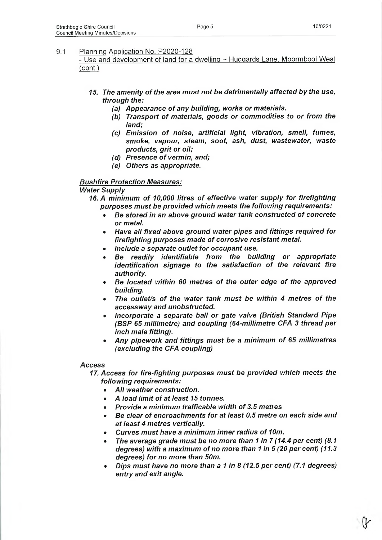- Use and development of land for a dwelling ~ Huggards Lane, Moormbool West (cont.)

- *15. The am enity o f the area m ust not be detrim entally affected by the use, through the:*
	- *(a) Appearance of any building, works or materials.*
	- (b) Transport of materials, goods or commodities to or from the *land;*
	- *(c)* Emission of noise, artificial light, vibration, smell, fumes, *smoke, vapour, steam, soot, ash, dust, wastewater, waste products, grit or oil;*
	- *(d)* Presence of vermin, and;
	- *(e) Others as appropriate.*

## *Bushfire Protection Measures:*

**Water Supply** 

- 16. A minimum of 10,000 litres of effective water supply for firefighting purposes must be provided which meets the following requirements:
	- **Be stored in an above ground water tank constructed of concrete** *or metal.*
	- *Have all fixed above ground water pipes and fittings required for* firefighting purposes made of corrosive resistant metal.
	- *Include a separate outlet for occupant use.*
	- *Be readily Identifiable from the building or appropriate identification signage to the satisfaction of the relevant fire authority.*
	- Be located within 60 metres of the outer edge of the approved *building.*
	- The outlet/s of the water tank must be within 4 metres of the *accessway and unobstructed.*
	- *Incorporate a separate ball or gate valve (British Standard Pipe (BSP 65 millimetre) and coupling (64-millimetre CFA 3 thread per inch male fitting).*
	- Any pipework and fittings must be a minimum of 65 millimetres *(excluding the CFA coupling)*

#### *Access*

*17. Access for fire-fighting purposes m ust be provided which meets the following requirements:*

- *A ll weather construction.*
- *A load limit of at least 15 tonnes.*
- **Provide a minimum trafficable width of 3.5 metres**
- **Be clear of encroachments for at least 0.5 metre on each side and** *at least 4 metres vertically.*
- *Curves must have a minimum inner radius of 10m.*
- The average grade must be no more than 1 in 7 (14.4 per cent) (8.1) *degrees) with a maximum of no more than 1 in 5 (20 per cent) (11.3 degrees) for no more than 50m.*
- *Dips m ust have no more than a 1 in 8 (12.5 per cent) (7.1 degrees) entry and exit angle.*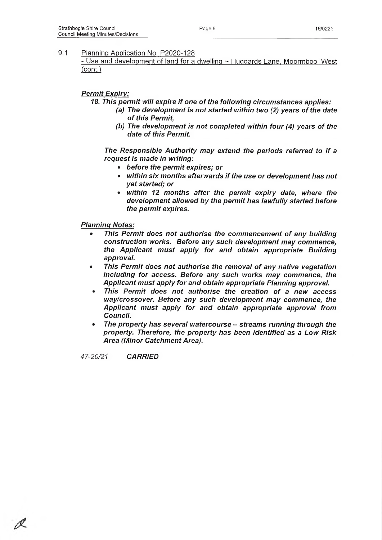- Use and development of land for a dwelling  $\sim$  Huggards Lane, Moormbool West (cont.)

## *Permit Expiry:*

18. This permit will expire if one of the following circumstances applies:

- (a) The development is not started within two (2) years of the date of this Permit,
- *(b)* The development is not completed within four (4) years of the date of this Permit.

The Responsible Authority may extend the periods referred to if a *request is made in writing:*

- *before the perm it expires; or*
- *within six months afterwards if the use or development has not yet started; or*
- within 12 months after the permit expiry date, where the *development allowed by the perm it has lawfully started before the perm it expires.*

*Planninc; Notes:*

- *This Permit does not authorise the commencement of any building construction works. Before any such development m ay commence, the Applicant m ust apply for and obtain appropriate Building approval.*
- This Permit does not authorise the removal of any native vegetation including for access. Before any such works may commence, the Applicant must apply for and obtain appropriate Planning approval.
- This Permit does not authorise the creation of a new access *way/crossover. Before any such development may commence, the Applicant m ust apply for and obtain appropriate approval from Council.*
- *The property has several watercourse streams running through the property. Therefore, the property has been identified as a Low Risk* **Area (Minor Catchment Area).**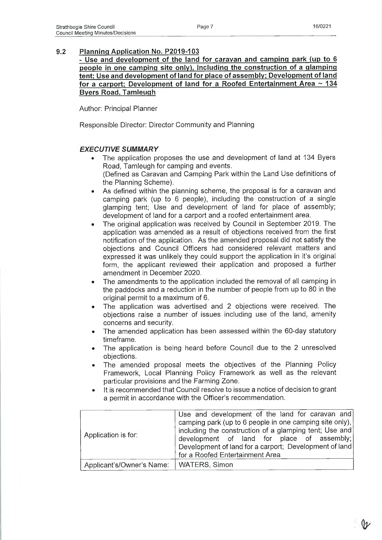**- Use and development of the land for caravan and camping park (up to 6 people in one camping site only), including the construction of a glamping tent; Use and development of land for place of assembly; Development of land for a carport; Development of land for a Roofed Entertainment Area ~ 134 Byers Road. Tamleugh**

Author: Principal Planner

Responsible Director: Director Community and Planning

## **EXECUTIVE SUMMARY**

- The application proposes the use and development of land at 134 Byers Road, Tamleugh for camping and events. (Defined as Caravan and Camping Park within the Land Use definitions of the Planning Scheme).
- As defined within the planning scheme, the proposal is for a caravan and camping park (up to 6 people), including the construction of a single glamping tent; Use and development of land for place of assembly; development of land for a carport and a roofed entertainment area.
- The original application was received by Council in September 2019. The application was amended as a result of objections received from the first notification of the application. As the amended proposal did not satisfy the objections and Council Officers had considered relevant matters and expressed it was unlikely they could support the application in it's original form, the applicant reviewed their application and proposed a further amendment in December 2020.
- The amendments to the application included the removal of all camping in the paddocks and a reduction in the number of people from up to 80 in the original permit to a maximum of 6.
- The application was advertised and 2 objections were received. The objections raise a number of issues including use of the land, amenity concerns and security.
- The amended application has been assessed within the 60-day statutory timeframe.
- The application is being heard before Council due to the 2 unresolved objections.
- The amended proposal meets the objectives of the Planning Policy Framework, Local Planning Policy Framework as well as the relevant particular provisions and the Farming Zone.
- It is recommended that Council resolve to issue a notice of decision to grant a permit in accordance with the Officer's recommendation.

| Application is for:       | Use and development of the land for caravan and<br>camping park (up to 6 people in one camping site only),<br>including the construction of a glamping tent; Use and<br>development of land for place of assembly;<br>Development of land for a carport; Development of land<br>for a Roofed Entertainment Area |
|---------------------------|-----------------------------------------------------------------------------------------------------------------------------------------------------------------------------------------------------------------------------------------------------------------------------------------------------------------|
| Applicant's/Owner's Name: | <b>WATERS, Simon</b>                                                                                                                                                                                                                                                                                            |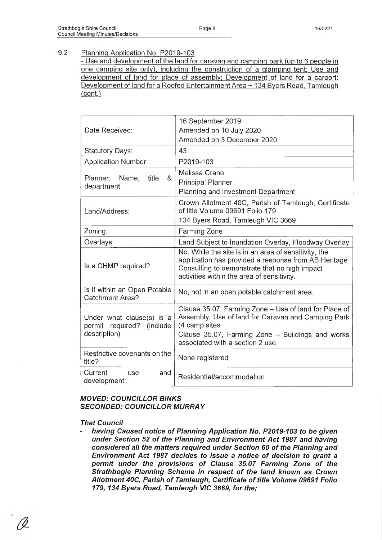- Use and development of the land for caravan and camping park (up to 6 people in one camping site only), including the construction of a glamping tent; Use and development of land for place of assembly; Development of land for a carport; Development of land for a Roofed Entertainment Area  $\sim$  134 Byers Road, Tamleugh (cont.)

| Date Received:                                                         | 16 September 2019<br>Amended on 10 July 2020<br>Amended on 3 December 2020                                                                                                                                             |
|------------------------------------------------------------------------|------------------------------------------------------------------------------------------------------------------------------------------------------------------------------------------------------------------------|
| Statutory Days:                                                        | 43                                                                                                                                                                                                                     |
| <b>Application Number:</b>                                             | P2019-103                                                                                                                                                                                                              |
| Planner: Name,<br>title<br>&<br>department                             | Melissa Crane<br><b>Principal Planner</b><br>Planning and Investment Department                                                                                                                                        |
| Land/Address:                                                          | Crown Allotment 40C, Parish of Tamleugh, Certificate<br>of title Volume 09691 Folio 179<br>134 Byers Road, Tamleugh VIC 3669                                                                                           |
| Zoning:                                                                | Farming Zone                                                                                                                                                                                                           |
| Overlays:                                                              | Land Subject to Inundation Overlay, Floodway Overlay                                                                                                                                                                   |
| Is a CHMP required?                                                    | No. While the site is in an area of sensitivity, the<br>application has provided a response from AB Heritage<br>Consulting to demonstrate that no high impact<br>activities within the area of sensitivity.            |
| Is it within an Open Potable<br><b>Catchment Area?</b>                 | No, not in an open potable catchment area.                                                                                                                                                                             |
| Under what clause(s) is a<br>permit required? (include<br>description) | Clause 35.07, Farming Zone - Use of land for Place of<br>Assembly; Use of land for Caravan and Camping Park<br>(4 camp sites<br>Clause 35.07, Farming Zone $-$ Buildings and works<br>associated with a section 2 use. |
| Restrictive covenants on the<br>title?                                 | None registered                                                                                                                                                                                                        |
| Current<br>use<br>and<br>development:                                  | Residential/accommodation                                                                                                                                                                                              |

## *MOVED: COUNCILLOR BINKS* **SECONDED: COUNCILLOR MURRAY**

#### *That Council*

having Caused notice of Planning Application No. P2019-103 to be given *under Section 52 of the Planning and Environment Act 1987 and having* considered all the matters required under Section 60 of the Planning and *Environment Act 1987 decides to issue a notice of decision to grant a* permit under the provisions of Clause 35.07 Farming Zone of the **Strathbogie Planning Scheme in respect of the land known as Crown** Allotment 40C, Parish of Tamleugh, Certificate of title Volume 09691 Folio *179, 134 Byers Road, Tamleugh VIC 3669, for the;*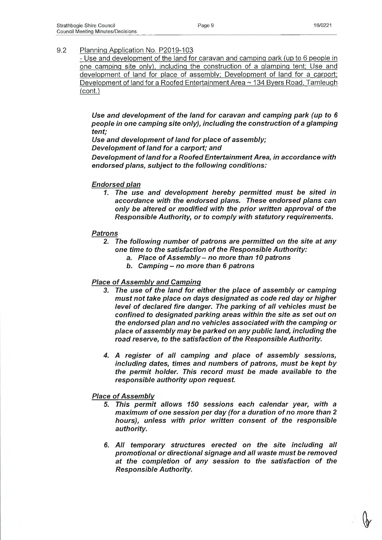- Use and development of the land for caravan and camping park (up to 6 people in one camping site only), including the construction of a glamping tent; Use and development of land for place of assembly; Development of land for a carport; Development of land for a Roofed Entertainment Area  $\sim$  134 Byers Road, Tamleugh (cont.)

Use and development of the land for caravan and camping park (up to 6 *people in one camping site only), including the construction of a glamping tent;*

Use and development of land for place of assembly;

*Development of land for a carport; and* 

**Development of land for a Roofed Entertainment Area, in accordance with** *endorsed plans, subject to the following conditions:*

## *Endorsed plan*

*1. The use and development hereby perm itted m ust be sited in accordance with the endorsed plans. These endorsed plans can* only be altered or modified with the prior written approval of the *Responsible Authority, or to com ply with statutory requirements.*

## *Patrons*

- 2. The following number of patrons are permitted on the site at any one time to the satisfaction of the Responsible Authority:
	- a. Place of Assembly no more than 10 patrons
	- *b. Camping no more than 6 patrons*

## **Place of Assembly and Camping**

- 3. The use of the land for either the place of assembly or camping *m ust not take place on days designated as code red day or higher level of declared fire danger. The parking of all vehicles must be confined to designated parking areas within the site as set out on the endorsed plan and no vehicles associated with the camping or place of assem bly m ay be parked on any public land, including the* road reserve, to the satisfaction of the Responsible Authority.
- 4. A register of all camping and place of assembly sessions, including dates, times and numbers of patrons, must be kept by *the perm it holder. This record m ust be made available to the responsible authority upon request.*

## **Place of Assembly**

- *5. This perm it allows 150 sessions each calendar year, with a maximum of one session per day (for a duration of no more than 2 hours), unless with prior written consent of the responsible authority.*
- *6. A ll temporary structures erected on the site including all prom otional or directional signage and all waste m ust be rem oved* at the completion of any session to the satisfaction of the *Responsible Authority.*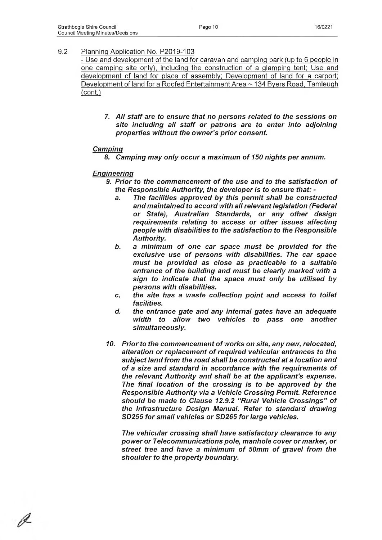- Use and development of the land for caravan and camping park (up to 6 people in one camping site only), including the construction of a glamping tent; Use and development of land for place of assembly; Development of land for a carport; Development of land for a Roofed Entertainment Area ~ 134 Byers Road, Tamleugh (cont.)

7. *A ll staff are to ensure that no persons related to the sessions on site including all staff or patrons are to enter into adjoining properties without the ow ner's prior consent.*

#### *Camping*

8. Camping may only occur a maximum of 150 nights per annum.

### *Engineering*

- *9. Prior to the com m encem ent o f the use and to the satisfaction of the Responsible Authority, the developer is to ensure that:* 
	- *a. The facilities approved by this perm it shall be constructed and m aintained to accord with all relevant legislation (Federal or State), Australian Standards, or any other design requirements relating to access or other issues affecting people with disabilities to the satisfaction to the Responsible Authority.*
	- b. a minimum of one car space must be provided for the *exclusive use of persons with disabilities. The car space* must be provided as close as practicable to a suitable entrance of the building and must be clearly marked with a *sign to indicate that the space m ust only be utilised by persons with disabilities.*
	- *c. the site has a waste collection point and access to toilet facilities.*
	- *d. the entrance gate and any internal gates have an adequate width to allow two vehicles to pass one another simultaneously.*
- 10. Prior to the commencement of works on site, any new, relocated, alteration or replacement of required vehicular entrances to the *subject land from the road shall be constructed at a location and* of a size and standard in accordance with the requirements of *the relevant Authority and shall be at the applicant's expense.* The final location of the crossing is to be approved by the *Responsible Authority via a Vehicle Crossing Permit. Reference* should be made to Clause 12.9.2 "Rural Vehicle Crossings" of *the Infrastructure Design Manual. Refer to standard drawing SD255 for sm all vehicles or SD265 for large vehicles.*

*The vehicular crossing shall have satisfactory clearance to any pow er or Telecommunications pole, manhole cover or marker, or* street tree and have a minimum of 50mm of gravel from the *shoulder to the property boundary.*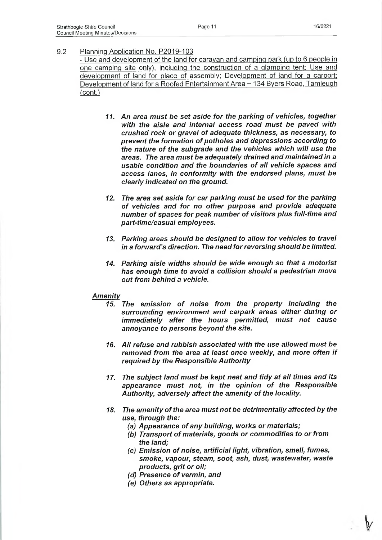- Use and development of the land for caravan and camping park (up to 6 people in one camping site only), including the construction of a glamping tent; Use and development of land for place of assembly; Development of land for a carport; Development of land for a Roofed Entertainment Area ~ 134 Byers Road, Tamleugh (cont.)

- 11. An area must be set aside for the parking of vehicles, together *with the aisle and internal access road m ust be paved with crushed rock or gravel of adequate thickness, as necessary, to* **prevent the formation of potholes and depressions according to** the nature of the subgrade and the vehicles which will use the *areas. The area m ust be adequately drained and m aintained in a* usable condition and the boundaries of all vehicle spaces and *access lanes, in conform ity with the endorsed plans, m ust be clearly indicated on the ground.*
- *12. The area set aside for car parking m ust be used for the parking* of vehicles and for no other purpose and provide adequate number of spaces for peak number of visitors plus full-time and *part-tim e/casual employees.*
- *13. Parking areas should be designed to allow for vehicles to travel in a forward's direction. The need for reversing should be limited.*
- *14. Parking aisle widths should be wide enough* so *that a m otorist has enough time to avoid a collision should a pedestrian move out from behind a vehicle.*

#### *Am enity*

- 15. The emission of noise from the property including the *surrounding environment and carpark areas either during or immediately after the hours permitted, must not cause annoyance to persons beyond the site.*
- *16. All refuse and rubbish associated with the use allowed m ust be rem oved from the area at least once weekly, and more often if required by the Responsible Authority*
- 17. The subject land must be kept neat and tidy at all times and its appearance must not, in the opinion of the Responsible Authority, adversely affect the amenity of the locality.
- 18. The amenity of the area must not be detrimentally affected by the *use, through the:*
	- (a) Appearance of any building, works or materials;
	- *(b) Transport o f materials, goods or commodities to or from the land;*
	- *(c)* Emission of noise, artificial light, vibration, smell, fumes, *smoke, vapour, steam, soot, ash, dust, wastewater, waste products, grit or oil;*
	- *(d) Presence of vermin, and*
	- *(e) Others as appropriate.*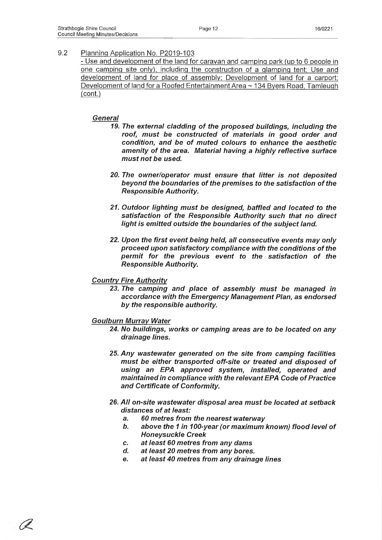- Use and development of the land for caravan and camping park (up to 6 people in one camping site only), including the construction of a glamping tent; Use and development of land for place of assembly; Development of land for a carport; Development of land for a Roofed Entertainment Area ~ 134 Byers Road, Tamleugh (cont.)

## *General*

- 19. The external cladding of the proposed buildings, including the roof, must be constructed of materials in good order and condition, and be of muted colours to enhance the aesthetic amenity of the area. Material having a highly reflective surface *m ust not be used.*
- 20. The owner/operator must ensure that litter is not deposited beyond the boundaries of the premises to the satisfaction of the *Responsible Authority.*
- 21. Outdoor lighting must be designed, baffled and located to the satisfaction of the Responsible Authority such that no direct light is emitted outside the boundaries of the subject land.
- *22. Upon the first event being held, all consecutive events m ay only proceed upon satisfactory compliance with the conditions of the* permit for the previous event to the satisfaction of the *Responsible Authority.*

## *Country Fire Authority*

23. The camping and place of assembly must be managed in *accordance with the Em ergency Managem ent Plan, as endorsed by the responsible authority.*

## **Goulburn Murray Water**

- *24. No buildings, works or camping areas are to be located on any drainage lines.*
- *25. A ny wastewater generated on the site from camping facilities* must be either transported off-site or treated and disposed of *using an EPA approved system, installed, operated and maintained in compliance with the relevant EPA Code of Practice* and Certificate of Conformity.
- *26. A ll on-site wastewater disposal area m ust be located at setback* distances of at least:
	- *a. 60 metres from the nearest waterway*
	- b. above the 1 in 100-year (or maximum known) flood level of *Honeysuckle Creek*
	- *c. at least 60 metres from any dams*
	- *d. at least 20 metres from any bores.*
	- *e. at least 40 metres from any drainage lines*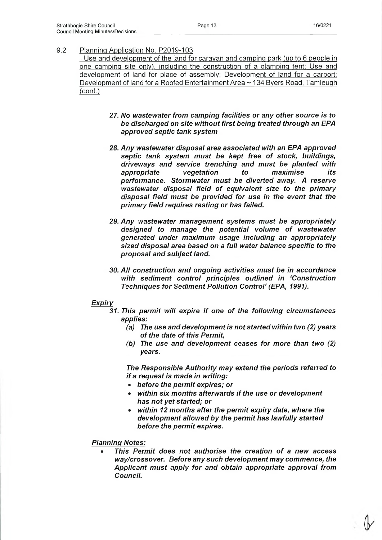- Use and development of the land for caravan and camping park (up to 6 people in one camping site only), including the construction of a glamping tent; Use and development of land for place of assembly; Development of land for a carport; Development of land for a Roofed Entertainment Area ~ 134 Byers Road, Tamleugh (cont.)

- 27. *No wastewater from camping facilities or any other source is to be discharged on site without first being treated through an EPA approved septic tank system*
- *28. Any wastewater disposal area associated with an EPA approved* septic tank system must be kept free of stock, buildings, *driveways and service trenching and m ust be planted with appropriate vegetation to maximise its performance. Storm water m ust be diverted away. A reserve wastewater disposal field of equivalent size to the primary disposal field m ust be provided for use in the event that the prim ary field requires resting or has failed.*
- 29. Any wastewater management systems must be appropriately designed to manage the potential volume of wastewater *generated under maximum usage including an appropriately sized disposal area based on a full water balance specific to the proposal and subject land.*
- 30. All construction and ongoing activities must be in accordance *with sedim ent control principles outlined in 'Construction Techniques for Sediment Pollution Control' (EPA, 1991).*

#### *Expiry*

- *31. This perm it will expire if one o f the following circumstances applies:*
	- *(a) The use and development is not started within two (2) years of the date of this Permit,*
	- *(b) The use and developm ent ceases for more than two (2) years.*

*The Responsible Authority m ay extend the periods referred to if a request is made in writing:*

- *before the perm it expires; or*
- *within six months afterwards if the use or development has not yet started; or*
- *within 12 months after the perm it expiry date, where the development allowed by the perm it has lawfully started before the perm it expires.*

*Planning Notes:*

This Permit does not authorise the creation of a new access *way/crossover. Before any such development m ay commence, the Applicant m ust apply for and obtain appropriate approval from Council.*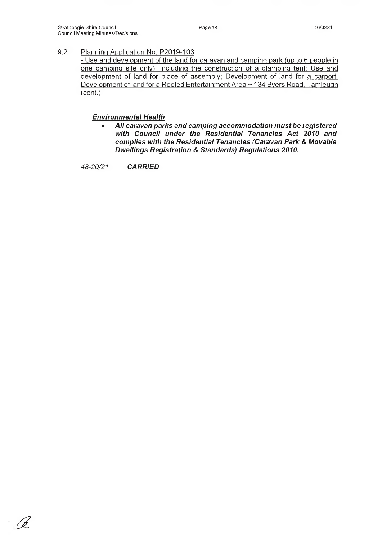- Use and development of the land for caravan and camping park (up to 6 people in one camping site only), including the construction of a glamping tent; Use and development of land for place of assembly; Development of land for a carport; Development of land for a Roofed Entertainment Area ~ 134 Byers Road, Tamleugh (cont.)

### *Environm ental Health*

All caravan parks and camping accommodation must be registered *with Council under the Residential Tenancies Act 2010 and complies with the Residential Tenancies (Caravan Park & Movable Dwellings Registration & Standards) Regulations 2010.*

*a*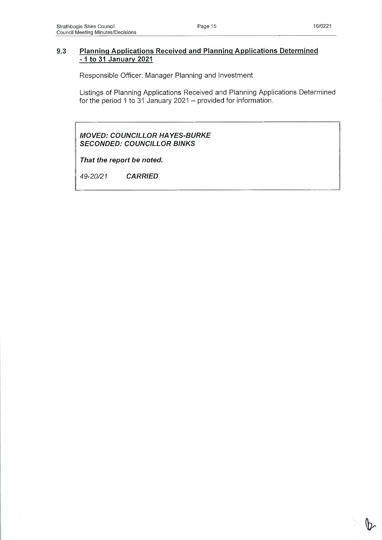凡

## **9.3 Planning Applications Received and Planning Applications Determined -1 to 31 January 2021**

Responsible Officer: Manager Planning and Investment

Listings of Planning Applications Received and Planning Applications Determined for the period 1 to 31 January 2021 - provided for information.

*MOVED: COUNCILLOR HAYES-BURKE SECONDED: COUNCILLOR BINKS*

*That the report be noted.*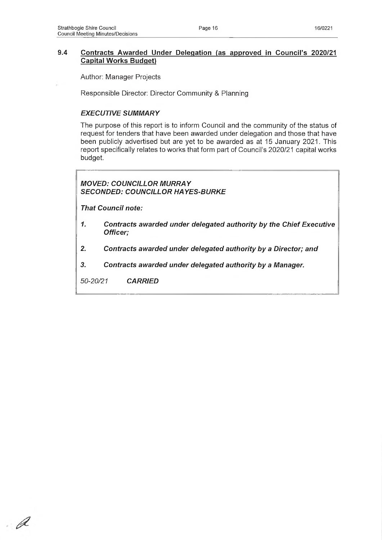## **9.4 Contracts Awarded Under Delegation (as approved in Council's 2020/21 Capital Works Budget)**

Author: Manager Projects

Responsible Director: Director Community & Planning

## **EXECUTIVE SUMMARY**

The purpose of this report is to inform Council and the community of the status of request for tenders that have been awarded under delegation and those that have been publicly advertised but are yet to be awarded as at 15 January 2021. This report specifically relates to works that form part of Council's 2020/21 capital works budget.

*MOVED: COUNCILLOR MURRAY SECONDED: COUNCILLOR HAYES-BURKE*

*That Council note:*

- *1. Contracts awarded under delegated authority by the Chief Executive Officer;*
- *2. Contracts awarded under delegated authority by a Director; and*
- *3. Contracts awarded under delegated authority by a Manager.*

*50-20/21 CARRIED*

 $\mathscr A$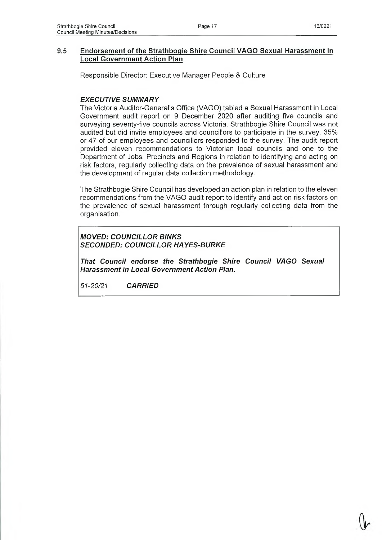## **9.5 Endorsement of the Strathbogie Shire Council VAGO Sexual Harassment in Local Government Action Plan**

Responsible Director: Executive Manager People & Culture

## **EXECUTIVE SUMMARY**

The Victoria Auditor-General's Office (VAGO) tabled a Sexual Harassment in Local Government audit report on 9 December 2020 after auditing five councils and surveying seventy-five councils across Victoria. Strathbogie Shire Council was not audited but did invite employees and councillors to participate in the survey. 35% or 47 of our employees and councillors responded to the survey. The audit report provided eleven recommendations to Victorian local councils and one to the Department of Jobs, Precincts and Regions in relation to identifying and acting on risk factors, regularly collecting data on the prevalence of sexual harassment and the development of regular data collection methodology.

The Strathbogie Shire Council has developed an action plan in relation to the eleven recommendations from the VAGO audit report to identify and act on risk factors on the prevalence of sexual harassment through regularly collecting data from the organisation.

## *MOVED: COUNCILLOR BINKS SECONDED: COUNCILLOR HAYES-BURKE*

*That Council endorse the Strathbogie Shire Council VAGO Sexual Harassm ent in Local Government Action Plan.*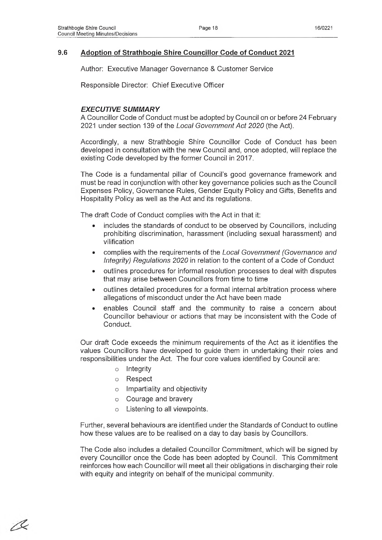## **9.6 Adoption of Strathbogie Shire Councillor Code of Conduct 2021**

Author: Executive Manager Governance & Customer Service

Responsible Director: Chief Executive Officer

## **EXECUTIVE SUMMARY**

A Councillor Code of Conduct must be adopted by Council on or before 24 February 2021 under section 139 of the *Local Government Act 2020* (the Act).

Accordingly, a new Strathbogie Shire Councillor Code of Conduct has been developed in consultation with the new Council and, once adopted, will replace the existing Code developed by the former Council in 2017.

The Code is a fundamental pillar of Council's good governance framework and must be read in conjunction with other key governance policies such as the Council Expenses Policy, Governance Rules, Gender Equity Policy and Gifts, Benefits and Hospitality Policy as well as the Act and its regulations.

The draft Code of Conduct complies with the Act in that it:

- includes the standards of conduct to be observed by Councillors, including prohibiting discrimination, harassment (including sexual harassment) and vilification
- complies with the requirements of the *Local Government (Governance and Integrity) Regulations 2020* in relation to the content of a Code of Conduct
- outlines procedures for informal resolution processes to deal with disputes that may arise between Councillors from time to time
- outlines detailed procedures for a formal internal arbitration process where allegations of misconduct under the Act have been made
- enables Council staff and the community to raise a concern about Councillor behaviour or actions that may be inconsistent with the Code of Conduct.

Our draft Code exceeds the minimum requirements of the Act as it identifies the values Councillors have developed to guide them in undertaking their roles and responsibilities under the Act. The four core values identified by Council are:

- o Integrity
- o Respect

/Ç

- o Impartiality and objectivity
- o Courage and bravery
- o Listening to all viewpoints.

Further, several behaviours are identified under the Standards of Conduct to outline how these values are to be realised on a day to day basis by Councillors.

The Code also includes a detailed Councillor Commitment, which will be signed by every Councillor once the Code has been adopted by Council. This Commitment reinforces how each Councillor will meet all their obligations in discharging their role with equity and integrity on behalf of the municipal community.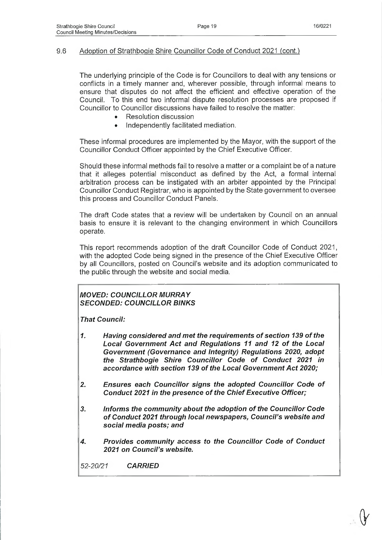## 9.6 Adoption of Strathbogie Shire Councillor Code of Conduct 2021 (cont.)

The underlying principle of the Code is for Councillors to deal with any tensions or conflicts in a timely manner and, wherever possible, through informal means to ensure that disputes do not affect the efficient and effective operation of the Council. To this end two informal dispute resolution processes are proposed if Councillor to Councillor discussions have failed to resolve the matter:

- Resolution discussion
- Independently facilitated mediation.

These informal procedures are implemented by the Mayor, with the support of the Councillor Conduct Officer appointed by the Chief Executive Officer.

Should these informal methods fail to resolve a matter or a complaint be of a nature that it alleges potential misconduct as defined by the Act, a formal internal arbitration process can be instigated with an arbiter appointed by the Principal Councillor Conduct Registrar, who is appointed by the State government to oversee this process and Councillor Conduct Panels.

The draft Code states that a review will be undertaken by Council on an annual basis to ensure it is relevant to the changing environment in which Councillors operate.

This report recommends adoption of the draft Councillor Code of Conduct 2021, with the adopted Code being signed in the presence of the Chief Executive Officer by all Councillors, posted on Council's website and its adoption communicated to the public through the website and social media.

## *MOVED: COUNCILLOR M URRAY SECONDED: COUNCILLOR BINKS*

*That Council:*

- 1. Having considered and met the requirements of section 139 of the **Local Government Act and Regulations 11 and 12 of the Local** *Governm ent (Governance and Integrity) Regulations 2020, adopt* the Strathbogie Shire Councillor Code of Conduct 2021 in accordance with section 139 of the Local Government Act 2020;
- 2. Ensures each Councillor signs the adopted Councillor Code of **Conduct 2021 in the presence of the Chief Executive Officer;**
- 3. Informs the community about the adoption of the Councillor Code *o f Conduct 2021 through local newspapers, Council's website and social media posts; and*
- 4. Provides community access to the Councillor Code of Conduct *2021 on Council's website.*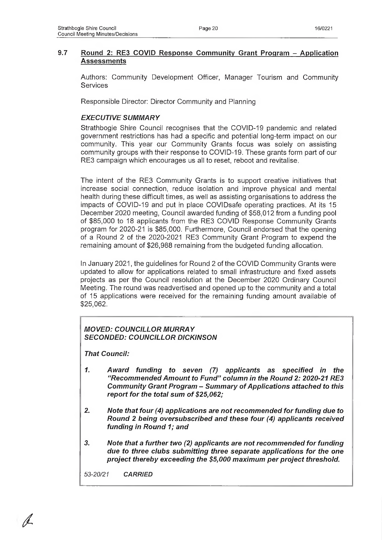## **9.7 Round 2: RE3 COVID Response Community Grant Program - Application Assessments**

Authors: Community Development Officer, Manager Tourism and Community Services

Responsible Director: Director Community and Planning

## **EXECUTIVE SUMMARY**

Strathbogie Shire Council recognises that the COVID-19 pandemic and related government restrictions has had a specific and potential long-term impact on our community. This year our Community Grants focus was solely on assisting community groups with their response to COVID-19. These grants form part of our RE3 campaign which encourages us all to reset, reboot and revitalise.

The intent of the RE3 Community Grants is to support creative initiatives that increase social connection, reduce isolation and improve physical and mental health during these difficult times, as well as assisting organisations to address the impacts of COVID-19 and put in place COVIDsafe operating practices. At its 15 December 2020 meeting, Council awarded funding of \$58,012 from a funding pool of \$85,000 to 18 applicants from the RE3 COVID Response Community Grants program for 2020-21 is \$85,000. Furthermore, Council endorsed that the opening of a Round 2 of the 2020-2021 RE3 Community Grant Program to expend the remaining amount of \$26,988 remaining from the budgeted funding allocation.

In January 2021, the guidelines for Round 2 of the COVID Community Grants were updated to allow for applications related to small infrastructure and fixed assets projects as per the Council resolution at the December 2020 Ordinary Council Meeting. The round was readvertised and opened up to the community and a total of 15 applications were received for the remaining funding amount available of \$25,062.

## **MOVED: COUNCILLOR MURRAY** *SECONDED: COUNCILLOR DICKINSON*

*That Council:*

- *1. Aw ard funding to seven (7) applicants as specified in the "Recom mended Am ount to Fund" column In the Round 2: 2020-21 RE3* **Community Grant Program - Summary of Applications attached to this** *report for the total sum of \$25,062;*
- 2. Note that four (4) applications are not recommended for funding due to *Round 2 being oversubscribed and these four (4) applicants received funding in Round 1; and*
- 3. Note that a further two (2) applicants are not recommended for funding *due to three clubs subm itting three separate applications for the one* project thereby exceeding the \$5,000 maximum per project threshold.

*53-20/21 CARRIED*

**/**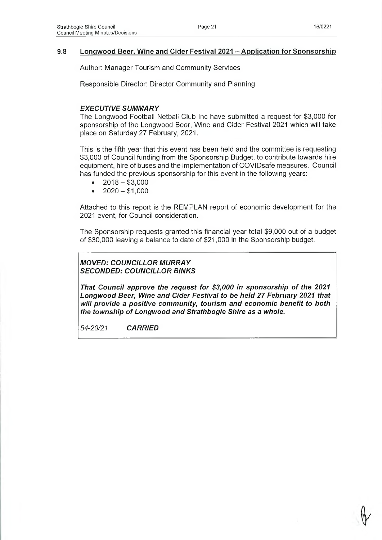## **9.8 Longwood Beer. Wine and Cider Festival 2021 - Application for Sponsorship**

Author: Manager Tourism and Community Services

Responsible Director: Director Community and Planning

## **EXECUTIVE SUMMARY**

The Longwood Football Netball Club Inc have submitted a request for \$3,000 for sponsorship of the Longwood Beer, Wine and Cider Festival 2021 which will take place on Saturday 27 February, 2021.

This is the fifth year that this event has been held and the committee is requesting \$3,000 of Council funding from the Sponsorship Budget, to contribute towards hire equipment, hire of buses and the implementation of COVIDsafe measures. Council has funded the previous sponsorship for this event in the following years:

- $\bullet$  2018 \$3,000
- $\bullet$  2020 \$1,000

Attached to this report is the REMPLAN report of economic development for the 2021 event, for Council consideration.

The Sponsorship requests granted this financial year total \$9,000 out of a budget of \$30,000 leaving a balance to date of \$21,000 in the Sponsorship budget.

## *MOVED: COUNCILLOR M URRAY SECONDED: COUNCILLOR BINKS*

*That Council approve the request for \$3,000 in sponsorship of the 2021 Longwood Beer, Wine and Cider Festival to be held 27 February 2021 that will provide a positive community, tourism and economic benefit to both the township o f Longwood and Strathbogie Shire as a whole.*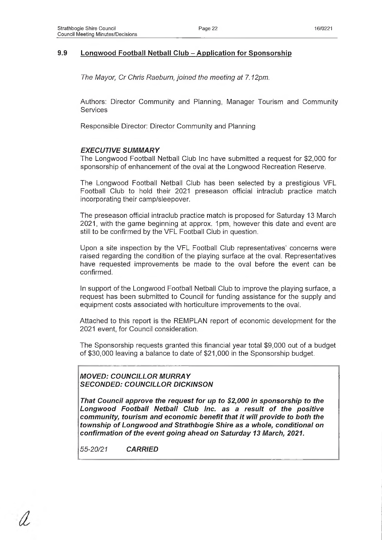## **9.9 Longwood Football Netball Club - Application for Sponsorship**

*The Mayor, Cr Chris Raeburn, joined the meeting at 7.12pm.*

Authors: Director Community and Planning, Manager Tourism and Community **Services** 

Responsible Director: Director Community and Planning

## **EXECUTIVE SUMMARY**

The Longwood Football Netball Club Inc have submitted a request for \$2,000 for sponsorship of enhancement of the oval at the Longwood Recreation Reserve.

The Longwood Football Netball Club has been selected by a prestigious VFL Football Club to hold their 2021 preseason official intraclub practice match incorporating their camp/sleepover.

The preseason official intraclub practice match is proposed for Saturday 13 March 2021, with the game beginning at approx. 1pm, however this date and event are still to be confirmed by the VFL Football Club in question.

Upon a site inspection by the VFL Football Club representatives' concerns were raised regarding the condition of the playing surface at the oval. Representatives have requested improvements be made to the oval before the event can be confirmed.

In support of the Longwood Football Netball Club to improve the playing surface, a request has been submitted to Council for funding assistance for the supply and equipment costs associated with horticulture improvements to the oval.

Attached to this report is the REMPLAN report of economic development for the 2021 event, for Council consideration.

The Sponsorship requests granted this financial year total \$9,000 out of a budget of \$30,000 leaving a balance to date of \$21,000 in the Sponsorship budget.

*MOVED: COUNCILLOR M URRAY SECONDED: COUNCILLOR DICKINSON*

*That Council approve the request for up to \$2,000 in sponsorship to the* Longwood Football Netball Club Inc. as a result of the positive *community, tourism and economic benefit that it will provide to both the township o f Longwood and Strathbogie Shire as a whole, conditional on* confirmation of the event going ahead on Saturday 13 March, 2021.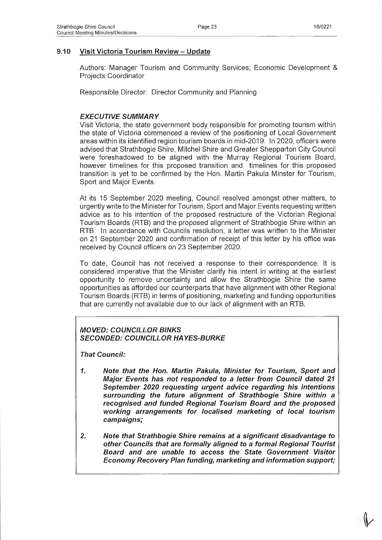## **9.10 Visit Victoria Tourism Review - Update**

Authors: Manager Tourism and Community Services; Economic Development & Projects Coordinator

Responsible Director: Director Community and Planning

## **EXECUTIVE SUMMARY**

Visit Victoria, the state government body responsible for promoting tourism within the state of Victoria commenced a review of the positioning of Local Government areas within its identified region tourism boards in mid-2019. In 2020, officers were advised that Strathbogie Shire, Mitchel Shire and Greater Shepparton City Council were foreshadowed to be aligned with the Murray Regional Tourism Board, however timelines for this proposed transition and timelines for this proposed transition is yet to be confirmed by the Hon. Martin Pakula Minster for Tourism, Sport and Major Events.

At its 15 September 2020 meeting, Council resolved amongst other matters, to urgently write to the Minister for Tourism, Sport and Major Events requesting written advice as to his intention of the proposed restructure of the Victorian Regional Tourism Boards (RTB) and the proposed alignment of Strathbogie Shire within an RTB. In accordance with Councils resolution, a letter was written to the Minister on 21 September 2020 and confirmation of receipt of this letter by his office was received by Council officers on 23 September 2020.

To date, Council has not received a response to their correspondence. It is considered imperative that the Minister clarify his intent in writing at the earliest opportunity to remove uncertainty and allow the Strathbogie Shire the same opportunities as afforded our counterparts that have alignment with other Regional Tourism Boards (RTB) in terms of positioning, marketing and funding opportunities that are currently not available due to our lack of alignment with an RTB.

## *MOVED: COUNCILLOR BINKS SECONDED: COUNCILLOR HAYES-BURKE*

*That Council:*

- *1. Note that the Hon. Martin Pakula, M inister for Tourism, Sport and M ajor Events has not responded to a letter from Council dated 21 Septem ber 2020 requesting urgent advice regarding his intentions* surrounding the future alignment of Strathbogie Shire within a *recognised and funded Regional Tourism Board and the proposed* working arrangements for localised marketing of local tourism *campaigns;*
- *2. Note that Strathbogie Shire remains at a significant disadvantage to other Councils that are form ally aligned to a form al Regional Tourist B oard and are unable to access the State Government Visitor Econom y Recovery Plan funding, marketing and information support;*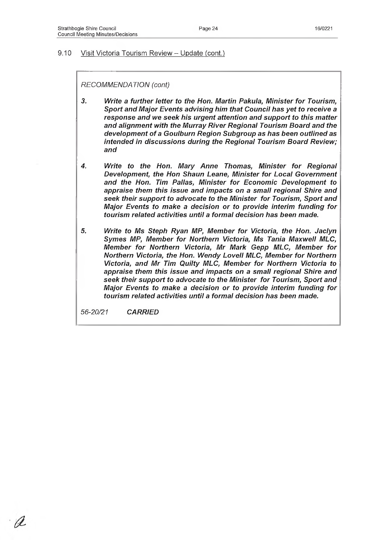#### 9.10 Visit Victoria Tourism Review - Update (cont.)

*RECOMMENDATION (cont)*

*3. Write a further letter to the Hon. Martin Pakula, M inister for Tourism, Sport and M ajor Events advising him that Council has yet to receive a response and we seek his urgent attention and support to this m atter* and alignment with the Murray River Regional Tourism Board and the development of a Goulburn Region Subgroup as has been outlined as *intended in discussions during the Regional Tourism Board Review; and*

- *4. Write to the Hon. M ary Anne Thomas, M inister for Regional Development, the Hon Shaun Leane, Minister for Local Government* and the Hon. Tim Pallas, Minister for Economic Development to *appraise them this issue and impacts on a small regional Shire and seek their support to advocate to the M inister for Tourism, Sport and M ajor Events to m ake a decision or to provide interim funding for tourism related activities until a formal decision has been made.*
- 5. Write to Ms Steph Ryan MP, Member for Victoria, the Hon. Jaclyn Symes MP, Member for Northern Victoria, Ms Tania Maxwell MLC, *Member for Northern Victoria, Mr Mark Gepp MLC, Member for Northern Victoria, the Hon. W endy Lovell MLC, M em ber for Northern* **Victoria, and Mr Tim Quilty MLC, Member for Northern Victoria to** *appraise them this issue and impacts on a small regional Shire and seek their support to advocate to the M inister for Tourism, Sport and M ajor Events to m ake a decision or to provide interim funding for tourism related activities until a formal decision has been made.*

*56-20/21 CARRIED*

U2.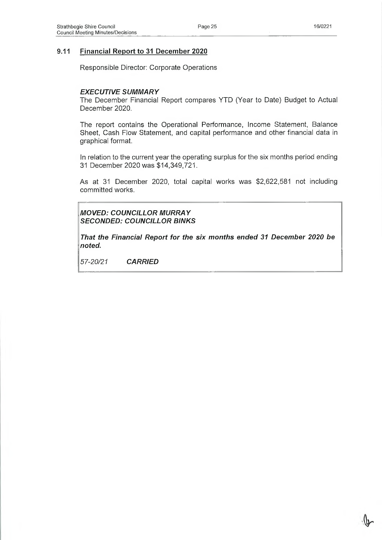## **9.11 Financial Report to 31 December 2020**

Responsible Director: Corporate Operations

### **EXECUTIVE SUMMARY**

The December Financial Report compares YTD (Year to Date) Budget to Actual December 2020.

The report contains the Operational Performance, Income Statement, Balance Sheet, Cash Flow Statement, and capital performance and other financial data in graphical format.

In relation to the current year the operating surplus for the six months period ending 31 December 2020 was \$14,349,721.

As at 31 December 2020, total capital works was \$2,622,581 not including committed works.

**MOVED: COUNCILLOR MURRAY** *SECONDED: COUNCILLOR BINKS*

That the Financial Report for the six months ended 31 December 2020 be *noted.*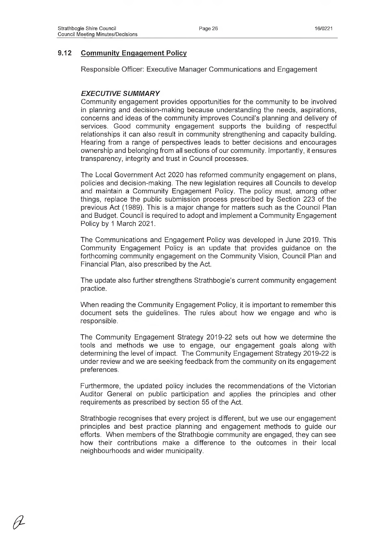*&*

## **9.12 Community Engagement Policy**

Responsible Officer: Executive Manager Communications and Engagement

## **EXECUTIVE SUMMARY**

Community engagement provides opportunities for the community to be involved in planning and decision-making because understanding the needs, aspirations, concerns and ideas of the community improves Council's planning and delivery of services. Good community engagement supports the building of respectful relationships it can also result in community strengthening and capacity building. Hearing from a range of perspectives leads to better decisions and encourages ownership and belonging from all sections of our community. Importantly, it ensures transparency, integrity and trust in Council processes.

The Local Government Act 2020 has reformed community engagement on plans, policies and decision-making. The new legislation requires all Councils to develop and maintain a Community Engagement Policy. The policy must, among other things, replace the public submission process prescribed by Section 223 of the previous Act (1989). This is a major change for matters such as the Council Plan and Budget. Council is required to adopt and implement a Community Engagement Policy by 1 March 2021.

The Communications and Engagement Policy was developed in June 2019. This Community Engagement Policy is an update that provides guidance on the forthcoming community engagement on the Community Vision, Council Plan and Financial Plan, also prescribed by the Act.

The update also further strengthens Strathbogie's current community engagement practice.

When reading the Community Engagement Policy, it is important to remember this document sets the guidelines. The rules about how we engage and who is responsible.

The Community Engagement Strategy 2019-22 sets out how we determine the tools and methods we use to engage, our engagement goals along with determining the level of impact. The Community Engagement Strategy 2019-22 is under review and we are seeking feedback from the community on its engagement preferences.

Furthermore, the updated policy includes the recommendations of the Victorian Auditor General on public participation and applies the principles and other requirements as prescribed by section 55 of the Act.

Strathbogie recognises that every project is different, but we use our engagement principles and best practice planning and engagement methods to guide our efforts. When members of the Strathbogie community are engaged, they can see how their contributions make a difference to the outcomes in their local neighbourhoods and wider municipality.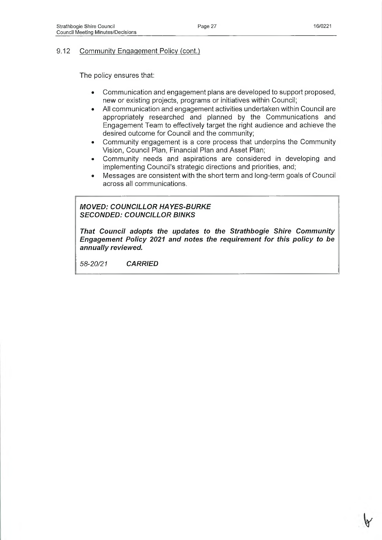## 9.12 Community Engagement Policy (cont.)

The policy ensures that:

- Communication and engagement plans are developed to support proposed, new or existing projects, programs or initiatives within Council;
- All communication and engagement activities undertaken within Council are appropriately researched and planned by the Communications and Engagement Team to effectively target the right audience and achieve the desired outcome for Council and the community;
- Community engagement is a core process that underpins the Community Vision, Council Plan, Financial Plan and Asset Plan;
- Community needs and aspirations are considered in developing and implementing Council's strategic directions and priorities, and;
- Messages are consistent with the short term and long-term goals of Council across all communications.

## *MOVED: COUNCILLOR HAYES-BURKE SECONDED: COUNCILLOR BINKS*

*That Council adopts the updates to the Strathbogie Shire Community Engagem ent Policy 2021 and notes the requirem ent for this policy to be annually reviewed.*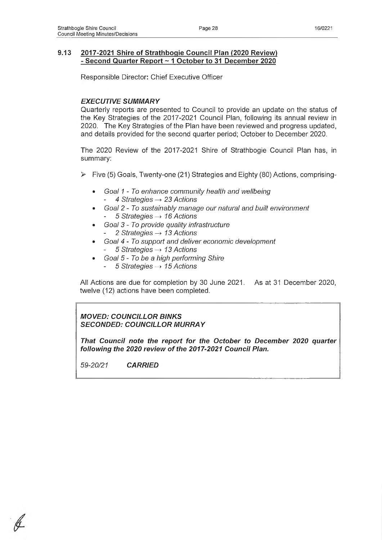## **9.13 2017-2021 Shire of Strathbogie Council Plan (2020 Review) - Second Quarter Report ~ 1 October to 31 December 2020**

Responsible Director: Chief Executive Officer

## **EXECUTIVE SUMMARY**

Quarterly reports are presented to Council to provide an update on the status of the Key Strategies of the 2017-2021 Council Plan, following its annual review in 2020. The Key Strategies of the Plan have been reviewed and progress updated, and details provided for the second quarter period; October to December 2020.

The 2020 Review of the 2017-2021 Shire of Strathbogie Council Plan has, in summary:

- $\triangleright$  Five (5) Goals, Twenty-one (21) Strategies and Eighty (80) Actions, comprising-
	- *Goal 1 To enhance community health and wellbeing - 4 Strategies* — > *23 Actions*
	- *Goal 2 To sustainably manage our natural and built environment* 5 *Strategies → 16 Actions*
	- ® *Goal 3 To provide quality infrastructure* - 2 *Strategies —> 13 Actions*
	- *Goal 4 To support and deliver economic development* - *5 Strategies —>13 Actions*
		- *Goal 5 To be a high perform ing Shire*
		- *5 Strategies —>15 Actions*

All Actions are due for completion by 30 June 2021. As at 31 December 2020, twelve (12) actions have been completed.

*MOVED: COUNCILLOR BINKS* **SECONDED: COUNCILLOR MURRAY** 

*That Council note the report for the October to Decem ber 2020 quarter following the 2020 review of the 2017-2021 Council Plan.*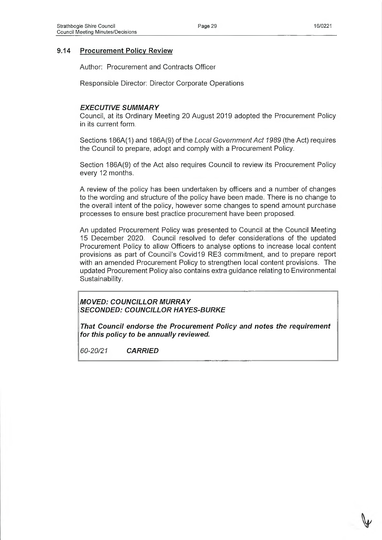## **9.14 Procurement Policy Review**

Author: Procurement and Contracts Officer

Responsible Director: Director Corporate Operations

## **EXECUTIVE SUMMARY**

Council, at its Ordinary Meeting 20 August 2019 adopted the Procurement Policy in its current form.

Sections 186A(1) and 186A(9) of the *Local Government Act 1989* (the Act) requires the Council to prepare, adopt and comply with a Procurement Policy.

Section 186A(9) of the Act also requires Council to review its Procurement Policy every 12 months.

A review of the policy has been undertaken by officers and a number of changes to the wording and structure of the policy have been made. There is no change to the overall intent of the policy, however some changes to spend amount purchase processes to ensure best practice procurement have been proposed.

An updated Procurement Policy was presented to Council at the Council Meeting 15 December 2020. Council resolved to defer considerations of the updated Procurement Policy to allow Officers to analyse options to increase local content provisions as part of Council's Covid19 RE3 commitment, and to prepare report with an amended Procurement Policy to strengthen local content provisions. The updated Procurement Policy also contains extra guidance relating to Environmental Sustainability.

*MOVED: COUNCILLOR M URRAY SECONDED: COUNCILLOR HAYES-BURKE*

**That Council endorse the Procurement Policy and notes the requirement** *for this policy to be annually reviewed.*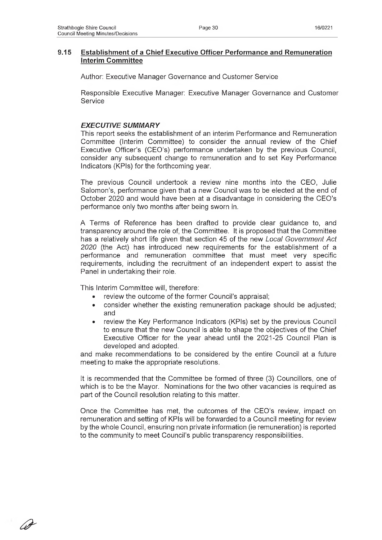### **9.15 Establishment of a Chief Executive Officer Performance and Remuneration Interim Committee**

Author: Executive Manager Governance and Customer Service

Responsible Executive Manager: Executive Manager Governance and Customer Service

### **EXECUTIVE SUMMARY**

This report seeks the establishment of an interim Performance and Remuneration Committee (Interim Committee) to consider the annual review of the Chief Executive Officer's (CEO's) performance undertaken by the previous Council, consider any subsequent change to remuneration and to set Key Performance Indicators (KPIs) for the forthcoming year.

The previous Council undertook a review nine months into the CEO, Julie Salomon's, performance given that a new Council was to be elected at the end of October 2020 and would have been at a disadvantage in considering the CEO's performance only two months after being sworn in.

A Terms of Reference has been drafted to provide clear guidance to, and transparency around the role of, the Committee. It is proposed that the Committee has a relatively short life given that section 45 of the new *Local Government Act 2020* (the Act) has introduced new requirements for the establishment of a performance and remuneration committee that must meet very specific requirements, including the recruitment of an independent expert to assist the Panel in undertaking their role.

This Interim Committee will, therefore:

*&*

- review the outcome of the former Council's appraisal;
- consider whether the existing remuneration package should be adjusted; and
- review the Key Performance Indicators (KPIs) set by the previous Council to ensure that the new Council is able to shape the objectives of the Chief Executive Officer for the year ahead until the 2021-25 Council Plan is developed and adopted.

and make recommendations to be considered by the entire Council at a future meeting to make the appropriate resolutions.

It is recommended that the Committee be formed of three (3) Councillors, one of which is to be the Mayor. Nominations for the two other vacancies is required as part of the Council resolution relating to this matter.

Once the Committee has met, the outcomes of the CEO's review, impact on remuneration and setting of KPIs will be forwarded to a Council meeting for review by the whole Council, ensuring non private information (ie remuneration) is reported to the community to meet Council's public transparency responsibilities.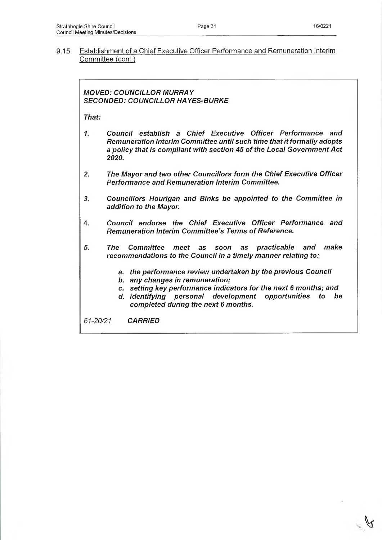9.15 Establishment of a Chief Executive Officer Performance and Remuneration Interim Committee (cont.)

## **MOVED: COUNCILLOR MURRAY** *SECONDED: COUNCILLOR HAYES-BURKE*

*That:*

- *1. Council establish a Chief Executive Officer Performance and Remuneration Interim Committee until such time that it form ally adopts* a policy that is compliant with section 45 of the Local Government Act *2020.*
- *2. The M ayor and two other Councillors form the Chief Executive Officer Performance and Remuneration Interim Committee.*
- *3. Councillors Hourigan and Binks be appointed to the Committee in addition to the Mayor.*
- 4. *Council endorse the Chief Executive Officer Performance and Remuneration Interim Committee's Terms of Reference.*
- *5. The Committee m eet as soon as practicable and make recommendations to the Council in a timely manner relating to:* 
	- *a. the perform ance review undertaken by the previous Council*
	- *b. any changes in remuneration;*
	- *c. setting key perform ance indicators for the next 6 months; and*
	- d. identifying personal development opportunities to be *com pleted during the next 6 months.*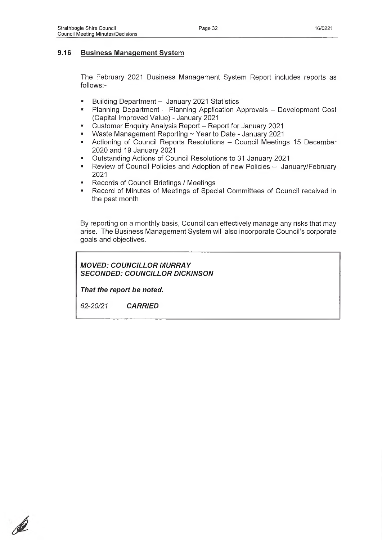## **9.16 Business Management System**

The February 2021 Business Management System Report includes reports as follows:-

- Building Department January 2021 Statistics
- Planning Department Planning Application Approvals Development Cost (Capital Improved Value) - January 2021
- Customer Enquiry Analysis Report Report for January 2021
- Waste Management Reporting ~ Year to Date January 2021
- Actioning of Council Reports Resolutions Council Meetings 15 December 2020 and 19 January 2021
- Outstanding Actions of Council Resolutions to 31 January 2021
- Review of Council Policies and Adoption of new Policies January/February 2021
- \* Records of Council Briefings / Meetings
- Record of Minutes of Meetings of Special Committees of Council received in the past month

By reporting on a monthly basis, Council can effectively manage any risks that may arise. The Business Management System will also incorporate Council's corporate goals and objectives.

**MOVED: COUNCILLOR MURRAY** *SECONDED: COUNCILLOR DICKINSON*

*That the report be noted.*

P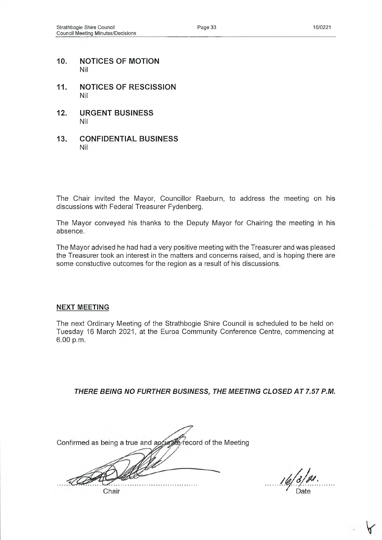- **10. NOTICES OF MOTION** Nil
- **11. NOTICES OF RESCISSION** Nil
- **12. URGENT BUSINESS** Nil
- **13. CONFIDENTIAL BUSINESS** Nil

The Chair invited the Mayor, Councillor Raeburn, to address the meeting on his discussions with Federal Treasurer Fydenberg.

The Mayor conveyed his thanks to the Deputy Mayor for Chairing the meeting in his absence.

The Mayor advised he had had a very positive meeting with the Treasurer and was pleased the Treasurer took an interest in the matters and concerns raised, and is hoping there are some constuctive outcomes for the region as a result of his discussions.

### **NEXT MEETING**

The next Ordinary Meeting of the Strathbogie Shire Council is scheduled to be held on Tuesday 16 March 2021, at the Euroa Community Conference Centre, commencing at 6.00 p.m.

*THERE BEING NO FURTHER BUSINESS, THE MEETING CLOSED A T 7.57 P.M.*

Confirmed as being a true and accurate/record of the Meeting Chair